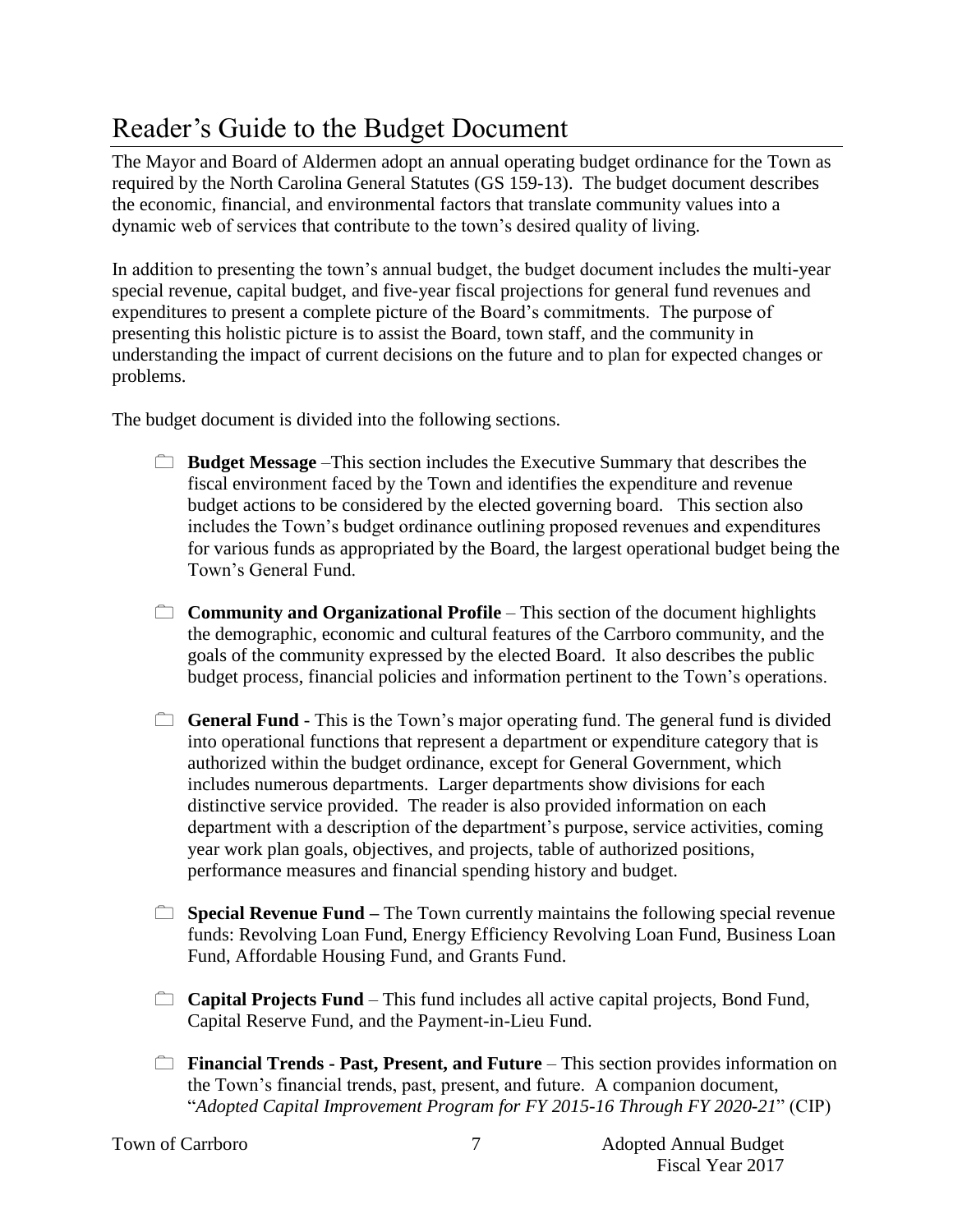## Reader's Guide to the Budget Document

The Mayor and Board of Aldermen adopt an annual operating budget ordinance for the Town as required by the North Carolina General Statutes (GS 159-13). The budget document describes the economic, financial, and environmental factors that translate community values into a dynamic web of services that contribute to the town's desired quality of living.

In addition to presenting the town's annual budget, the budget document includes the multi-year special revenue, capital budget, and five-year fiscal projections for general fund revenues and expenditures to present a complete picture of the Board's commitments. The purpose of presenting this holistic picture is to assist the Board, town staff, and the community in understanding the impact of current decisions on the future and to plan for expected changes or problems.

The budget document is divided into the following sections.

- **Budget Message** –This section includes the Executive Summary that describes the fiscal environment faced by the Town and identifies the expenditure and revenue budget actions to be considered by the elected governing board. This section also includes the Town's budget ordinance outlining proposed revenues and expenditures for various funds as appropriated by the Board, the largest operational budget being the Town's General Fund.
- **Community and Organizational Profile** This section of the document highlights the demographic, economic and cultural features of the Carrboro community, and the goals of the community expressed by the elected Board. It also describes the public budget process, financial policies and information pertinent to the Town's operations.
- **General Fund** This is the Town's major operating fund. The general fund is divided into operational functions that represent a department or expenditure category that is authorized within the budget ordinance, except for General Government, which includes numerous departments. Larger departments show divisions for each distinctive service provided. The reader is also provided information on each department with a description of the department's purpose, service activities, coming year work plan goals, objectives, and projects, table of authorized positions, performance measures and financial spending history and budget.
- **Special Revenue Fund** The Town currently maintains the following special revenue funds: Revolving Loan Fund, Energy Efficiency Revolving Loan Fund, Business Loan Fund, Affordable Housing Fund, and Grants Fund.
- **Capital Projects Fund** This fund includes all active capital projects, Bond Fund, Capital Reserve Fund, and the Payment-in-Lieu Fund.
- **Financial Trends Past, Present, and Future** This section provides information on the Town's financial trends, past, present, and future. A companion document, "*Adopted Capital Improvement Program for FY 2015-16 Through FY 2020-21*" (CIP)